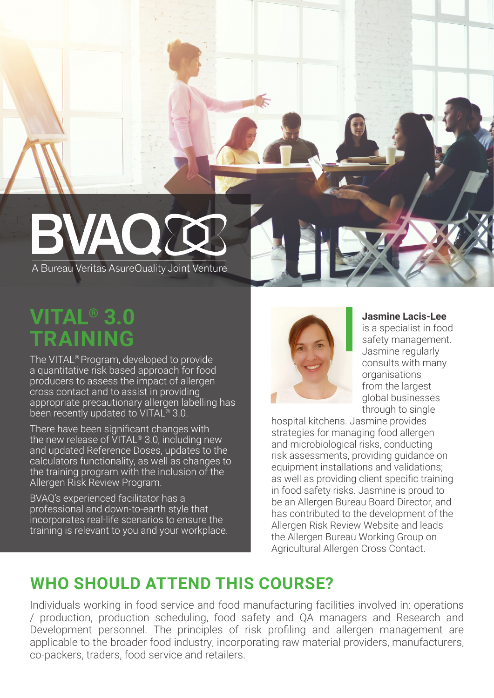# BVAOX

A Bureau Veritas AsureQuality Joint Venture

# **VITAL® 3.0 TRAINING**

The VITAL® Program, developed to provide a quantitative risk based approach for food producers to assess the impact of allergen cross contact and to assist in providing appropriate precautionary allergen labelling has been recently updated to VITAL<sup>®</sup> 3.0.

There have been significant changes with the new release of VITAL® 3.0, including new and updated Reference Doses, updates to the calculators functionality, as well as changes to the training program with the inclusion of the Allergen Risk Review Program.

BVAQ's experienced facilitator has a professional and down-to-earth style that incorporates real-life scenarios to ensure the training is relevant to you and your workplace.



### **Jasmine Lacis-Lee**

is a specialist in food safety management. Jasmine regularly consults with many organisations from the largest global businesses through to single

hospital kitchens. Jasmine provides strategies for managing food allergen and microbiological risks, conducting risk assessments, providing guidance on equipment installations and validations; as well as providing client specific training in food safety risks. Jasmine is proud to be an Allergen Bureau Board Director, and has contributed to the development of the Allergen Risk Review Website and leads the Allergen Bureau Working Group on Agricultural Allergen Cross Contact.

## **WHO SHOULD ATTEND THIS COURSE?**

Individuals working in food service and food manufacturing facilities involved in: operations / production, production scheduling, food safety and QA managers and Research and Development personnel. The principles of risk profiling and allergen management are applicable to the broader food industry, incorporating raw material providers, manufacturers, co-packers, traders, food service and retailers.